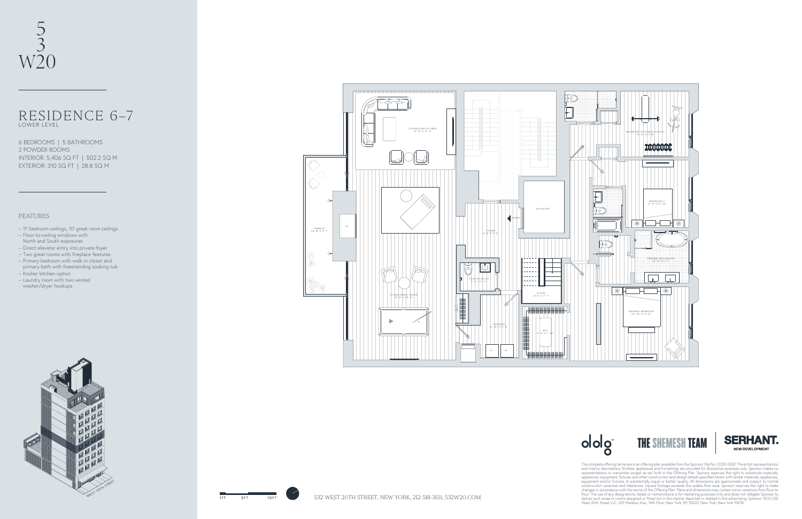

## RESIDENCE 6–7 LOWER LEVEL





The complete offering terms are in an offering plan available from the Sponsor. File No. CD20-0067. The artist representations and interior decorations, finishes, appliances and thremshings are provided for illustrative pu





## FEATURES

- 11' bedroom ceilings, 10' great room ceilings
- Floor-to-ceiling windows with North and South exposures
- Direct elevator entry into private foyer
- Two great rooms with fireplace features
- Primary bedroom with walk-in closet and primary bath with freestanding soaking tub
- Kosher kitchen option
- Laundry room with two vented
- washer/dryer hookups



6 BEDROOMS | 5 BATHROOMS 2 POWDER ROOMS INTERIOR: 5,406 SQ FT | 502.2 SQ M EXTERIOR: 310 SQ FT | 28.8 SQ M